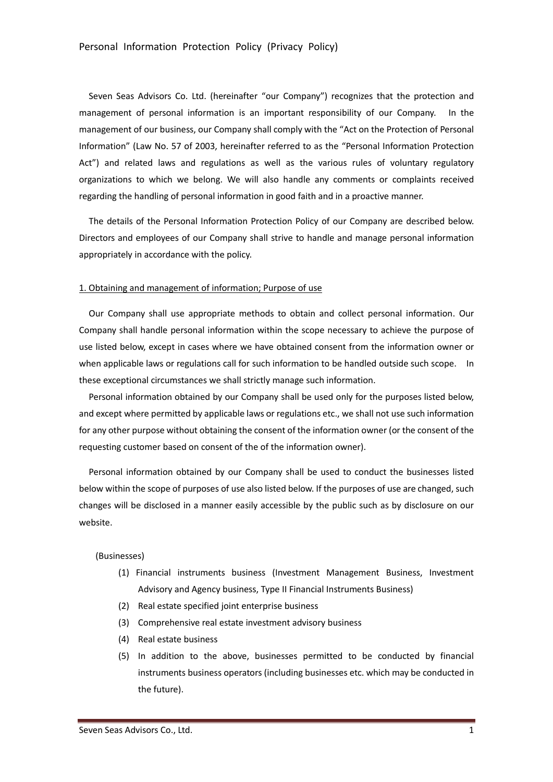Seven Seas Advisors Co. Ltd. (hereinafter "our Company") recognizes that the protection and management of personal information is an important responsibility of our Company. In the management of our business, our Company shall comply with the "Act on the Protection of Personal Information" (Law No. 57 of 2003, hereinafter referred to as the "Personal Information Protection Act") and related laws and regulations as well as the various rules of voluntary regulatory organizations to which we belong. We will also handle any comments or complaints received regarding the handling of personal information in good faith and in a proactive manner.

The details of the Personal Information Protection Policy of our Company are described below. Directors and employees of our Company shall strive to handle and manage personal information appropriately in accordance with the policy.

#### 1. Obtaining and management of information; Purpose of use

Our Company shall use appropriate methods to obtain and collect personal information. Our Company shall handle personal information within the scope necessary to achieve the purpose of use listed below, except in cases where we have obtained consent from the information owner or when applicable laws or regulations call for such information to be handled outside such scope. In these exceptional circumstances we shall strictly manage such information.

Personal information obtained by our Company shall be used only for the purposes listed below, and except where permitted by applicable laws or regulations etc., we shall not use such information for any other purpose without obtaining the consent of the information owner (or the consent of the requesting customer based on consent of the of the information owner).

Personal information obtained by our Company shall be used to conduct the businesses listed below within the scope of purposes of use also listed below. If the purposes of use are changed, such changes will be disclosed in a manner easily accessible by the public such as by disclosure on our website.

## (Businesses)

- (1) Financial instruments business (Investment Management Business, Investment Advisory and Agency business, Type II Financial Instruments Business)
- (2) Real estate specified joint enterprise business
- (3) Comprehensive real estate investment advisory business
- (4) Real estate business
- (5) In addition to the above, businesses permitted to be conducted by financial instruments business operators (including businesses etc. which may be conducted in the future).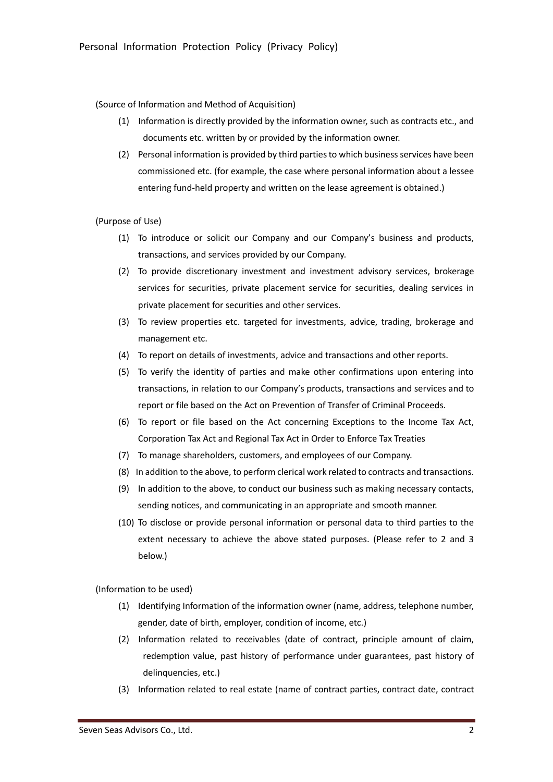(Source of Information and Method of Acquisition)

- (1) Information is directly provided by the information owner, such as contracts etc., and documents etc. written by or provided by the information owner.
- (2) Personal information is provided by third parties to which business services have been commissioned etc. (for example, the case where personal information about a lessee entering fund-held property and written on the lease agreement is obtained.)

(Purpose of Use)

- (1) To introduce or solicit our Company and our Company's business and products, transactions, and services provided by our Company.
- (2) To provide discretionary investment and investment advisory services, brokerage services for securities, private placement service for securities, dealing services in private placement for securities and other services.
- (3) To review properties etc. targeted for investments, advice, trading, brokerage and management etc.
- (4) To report on details of investments, advice and transactions and other reports.
- (5) To verify the identity of parties and make other confirmations upon entering into transactions, in relation to our Company's products, transactions and services and to report or file based on the Act on Prevention of Transfer of Criminal Proceeds.
- (6) To report or file based on the Act concerning Exceptions to the Income Tax Act, Corporation Tax Act and Regional Tax Act in Order to Enforce Tax Treaties
- (7) To manage shareholders, customers, and employees of our Company.
- (8) In addition to the above, to perform clerical work related to contracts and transactions.
- (9) In addition to the above, to conduct our business such as making necessary contacts, sending notices, and communicating in an appropriate and smooth manner.
- (10) To disclose or provide personal information or personal data to third parties to the extent necessary to achieve the above stated purposes. (Please refer to 2 and 3 below.)

(Information to be used)

- (1) Identifying Information of the information owner (name, address, telephone number, gender, date of birth, employer, condition of income, etc.)
- (2) Information related to receivables (date of contract, principle amount of claim, redemption value, past history of performance under guarantees, past history of delinquencies, etc.)
- (3) Information related to real estate (name of contract parties, contract date, contract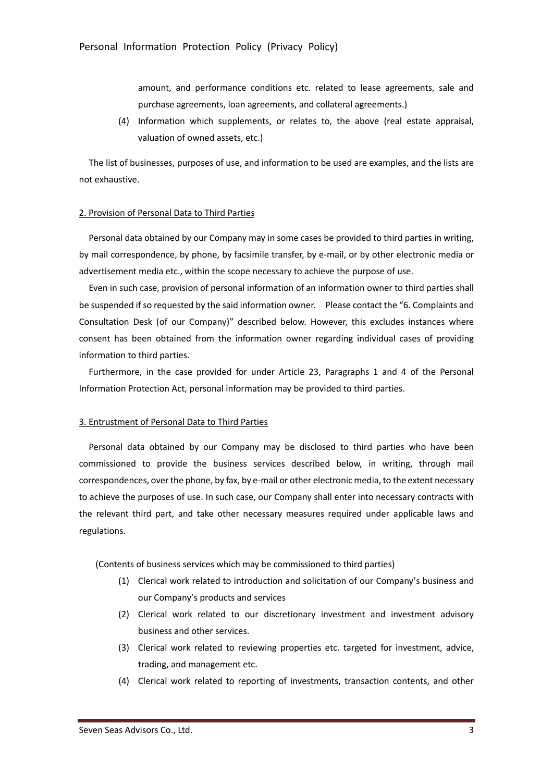amount, and performance conditions etc. related to lease agreements, sale and purchase agreements, loan agreements, and collateral agreements.)

(4) Information which supplements, or relates to, the above (real estate appraisal, valuation of owned assets, etc.)

The list of businesses, purposes of use, and information to be used are examples, and the lists are not exhaustive.

#### 2. Provision of Personal Data to Third Parties

Personal data obtained by our Company may in some cases be provided to third parties in writing, by mail correspondence, by phone, by facsimile transfer, by e-mail, or by other electronic media or advertisement media etc., within the scope necessary to achieve the purpose of use.

Even in such case, provision of personal information of an information owner to third parties shall be suspended if so requested by the said information owner. Please contact the "6. Complaints and Consultation Desk (of our Company)" described below. However, this excludes instances where consent has been obtained from the information owner regarding individual cases of providing information to third parties.

Furthermore, in the case provided for under Article 23, Paragraphs 1 and 4 of the Personal Information Protection Act, personal information may be provided to third parties.

### 3. Entrustment of Personal Data to Third Parties

Personal data obtained by our Company may be disclosed to third parties who have been commissioned to provide the business services described below, in writing, through mail correspondences, over the phone, by fax, by e-mail or other electronic media, to the extent necessary to achieve the purposes of use. In such case, our Company shall enter into necessary contracts with the relevant third part, and take other necessary measures required under applicable laws and regulations.

(Contents of business services which may be commissioned to third parties)

- (1) Clerical work related to introduction and solicitation of our Company's business and our Company's products and services
- (2) Clerical work related to our discretionary investment and investment advisory business and other services.
- (3) Clerical work related to reviewing properties etc. targeted for investment, advice, trading, and management etc.
- (4) Clerical work related to reporting of investments, transaction contents, and other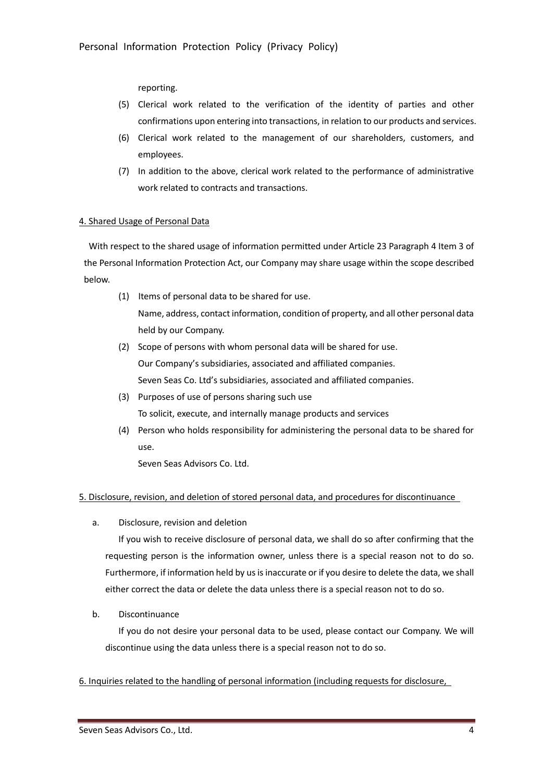reporting.

- (5) Clerical work related to the verification of the identity of parties and other confirmations upon entering into transactions, in relation to our products and services.
- (6) Clerical work related to the management of our shareholders, customers, and employees.
- (7) In addition to the above, clerical work related to the performance of administrative work related to contracts and transactions.

## 4. Shared Usage of Personal Data

With respect to the shared usage of information permitted under Article 23 Paragraph 4 Item 3 of the Personal Information Protection Act, our Company may share usage within the scope described below.

- (1) Items of personal data to be shared for use. Name, address, contact information, condition of property, and all other personal data held by our Company.
- (2) Scope of persons with whom personal data will be shared for use. Our Company's subsidiaries, associated and affiliated companies. Seven Seas Co. Ltd's subsidiaries, associated and affiliated companies.
- (3) Purposes of use of persons sharing such use To solicit, execute, and internally manage products and services
- (4) Person who holds responsibility for administering the personal data to be shared for use.

Seven Seas Advisors Co. Ltd.

# 5. Disclosure, revision, and deletion of stored personal data, and procedures for discontinuance

a. Disclosure, revision and deletion

If you wish to receive disclosure of personal data, we shall do so after confirming that the requesting person is the information owner, unless there is a special reason not to do so. Furthermore, if information held by us is inaccurate or if you desire to delete the data, we shall either correct the data or delete the data unless there is a special reason not to do so.

b. Discontinuance

If you do not desire your personal data to be used, please contact our Company. We will discontinue using the data unless there is a special reason not to do so.

6. Inquiries related to the handling of personal information (including requests for disclosure,